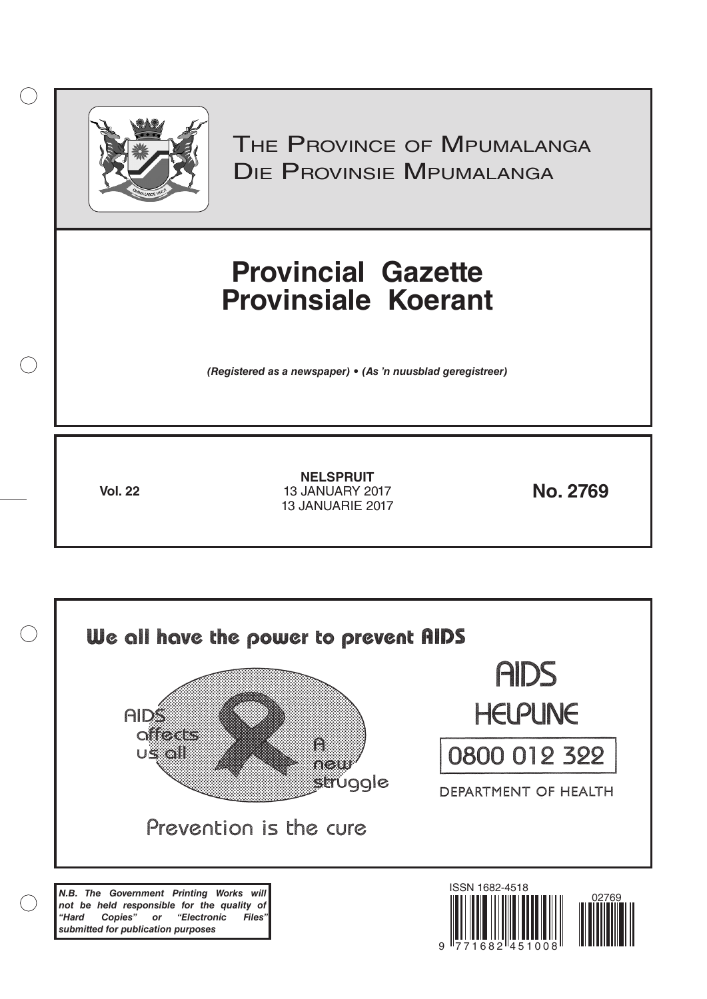

 $( )$ 

THE PROVINCE OF MPUMALANGA Die Provinsie Mpumalanga

# **Provincial Gazette Provinsiale Koerant**

*(Registered as a newspaper) • (As 'n nuusblad geregistreer)*

**Vol. 22 No. 2769** 13 JANUARY 2017 **NELSPRUIT** 13 JANUARIE 2017

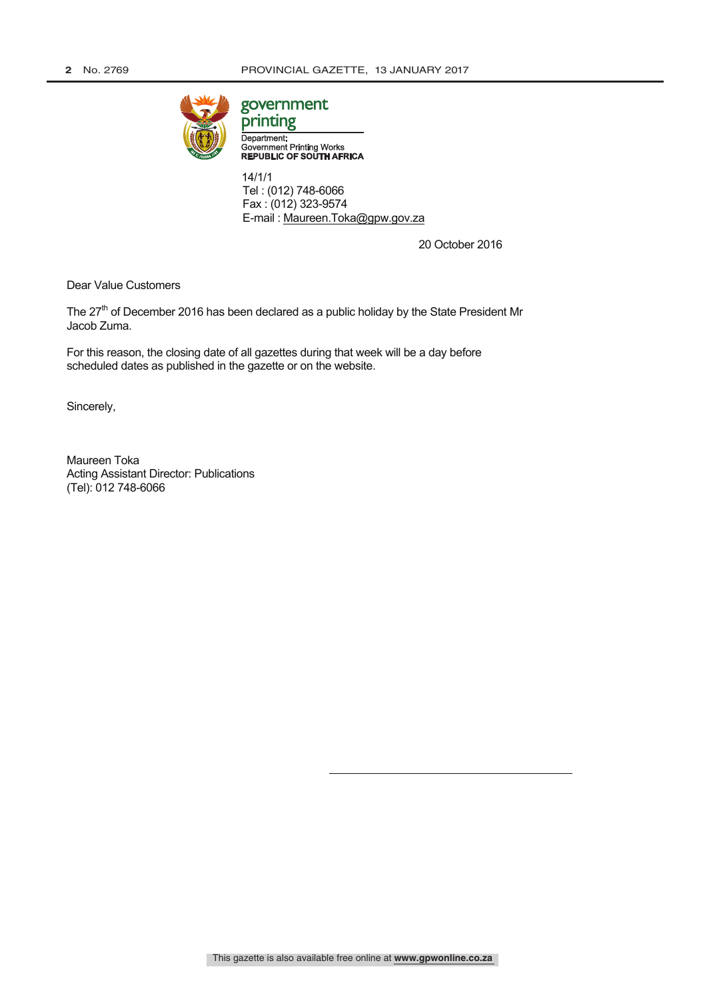

## government

printing Department: Government Printing Works<br>REPUBLIC OF SOUTH AFRICA

 14/1/1 Tel : (012) 748-6066 Fax : (012) 323-9574 E-mail : Maureen.Toka@gpw.gov.za

20 October 2016

Dear Value Customers

The 27<sup>th</sup> of December 2016 has been declared as a public holiday by the State President Mr Jacob Zuma.

For this reason, the closing date of all gazettes during that week will be a day before scheduled dates as published in the gazette or on the website.

Sincerely,

Maureen Toka Acting Assistant Director: Publications (Tel): 012 748-6066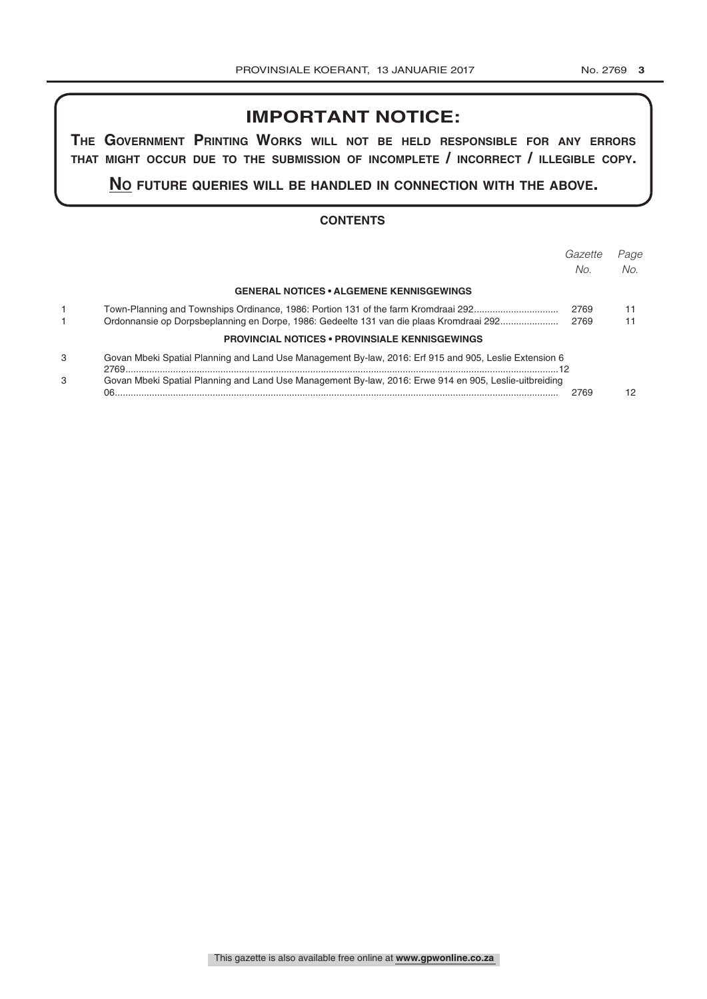### **IMPORTANT NOTICE:**

**The GovernmenT PrinTinG Works Will noT be held resPonsible for any errors ThaT miGhT occur due To The submission of incomPleTe / incorrecT / illeGible coPy.**

**no fuTure queries Will be handled in connecTion WiTh The above.**

#### **CONTENTS**

|   |                                                                                                        | Gazette | Page |
|---|--------------------------------------------------------------------------------------------------------|---------|------|
|   |                                                                                                        | No.     | No.  |
|   | <b>GENERAL NOTICES • ALGEMENE KENNISGEWINGS</b>                                                        |         |      |
|   | Town-Planning and Townships Ordinance, 1986: Portion 131 of the farm Kromdraai 292                     | 2769    |      |
|   | Ordonnansie op Dorpsbeplanning en Dorpe, 1986: Gedeelte 131 van die plaas Kromdraai 292                | 2769    |      |
|   | <b>PROVINCIAL NOTICES • PROVINSIALE KENNISGEWINGS</b>                                                  |         |      |
| З | Govan Mbeki Spatial Planning and Land Use Management By-law, 2016: Erf 915 and 905, Leslie Extension 6 |         |      |
| 3 | Govan Mbeki Spatial Planning and Land Use Management By-law, 2016: Erwe 914 en 905, Leslie-uitbreiding | 2769    | 12   |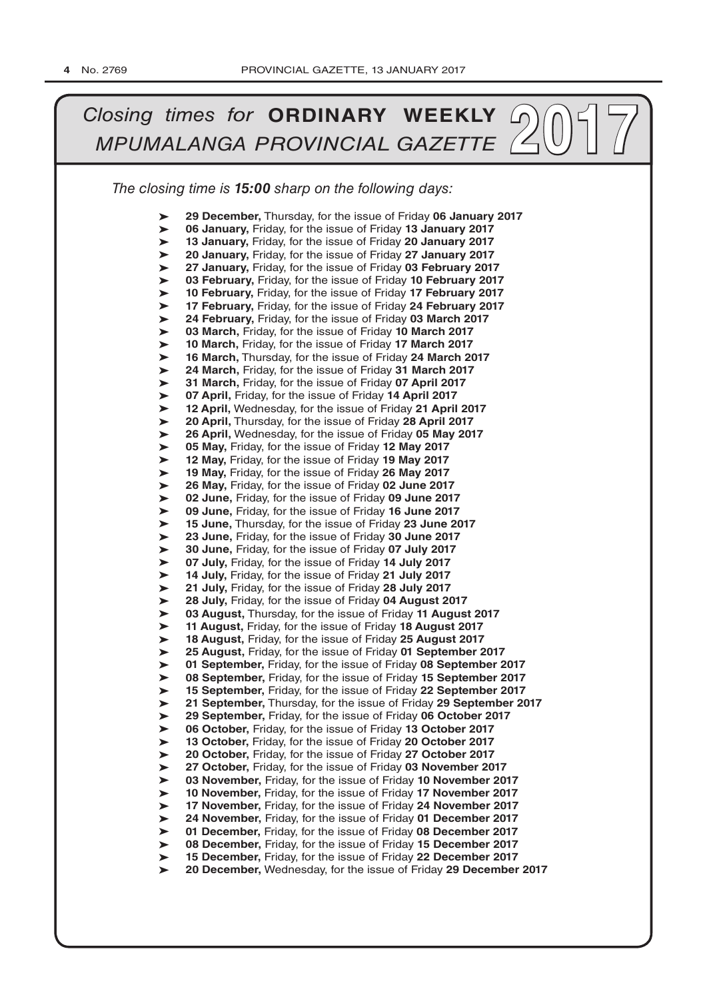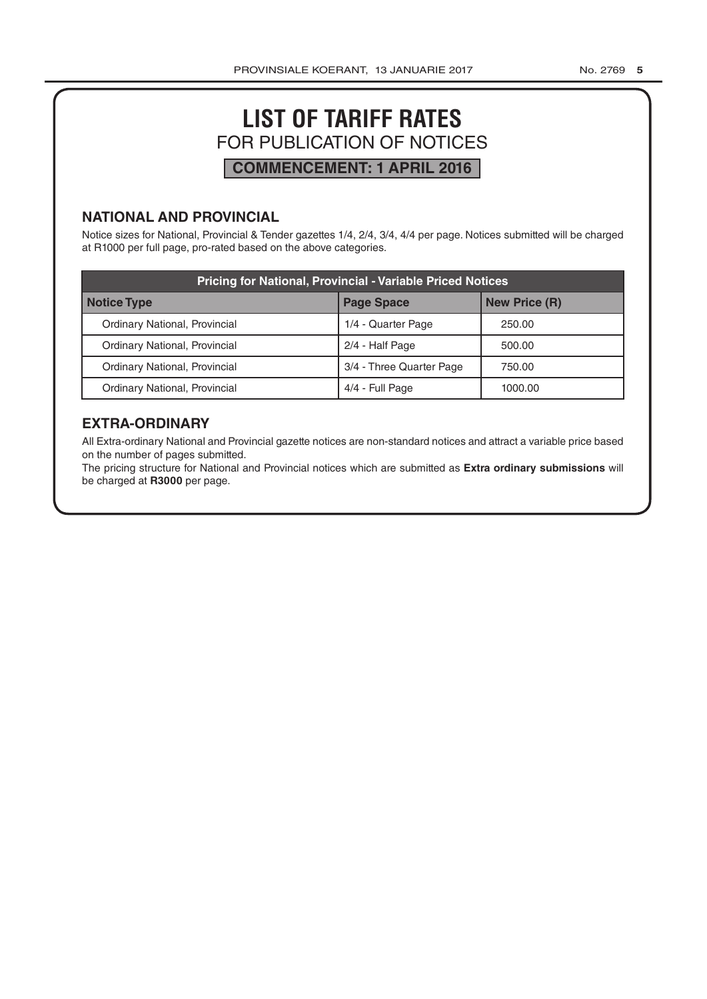## **LIST OF TARIFF RATES** FOR PUBLICATION OF NOTICES **COMMENCEMENT: 1 APRIL 2016**

### **NATIONAL AND PROVINCIAL**

Notice sizes for National, Provincial & Tender gazettes 1/4, 2/4, 3/4, 4/4 per page. Notices submitted will be charged at R1000 per full page, pro-rated based on the above categories.

| <b>Pricing for National, Provincial - Variable Priced Notices</b> |                          |                      |  |  |  |  |  |
|-------------------------------------------------------------------|--------------------------|----------------------|--|--|--|--|--|
| <b>Notice Type</b>                                                | <b>Page Space</b>        | <b>New Price (R)</b> |  |  |  |  |  |
| Ordinary National, Provincial                                     | 1/4 - Quarter Page       | 250.00               |  |  |  |  |  |
| Ordinary National, Provincial                                     | 2/4 - Half Page          | 500.00               |  |  |  |  |  |
| Ordinary National, Provincial                                     | 3/4 - Three Quarter Page | 750.00               |  |  |  |  |  |
| Ordinary National, Provincial                                     | 4/4 - Full Page          | 1000.00              |  |  |  |  |  |

### **EXTRA-ORDINARY**

All Extra-ordinary National and Provincial gazette notices are non-standard notices and attract a variable price based on the number of pages submitted.

The pricing structure for National and Provincial notices which are submitted as **Extra ordinary submissions** will be charged at **R3000** per page.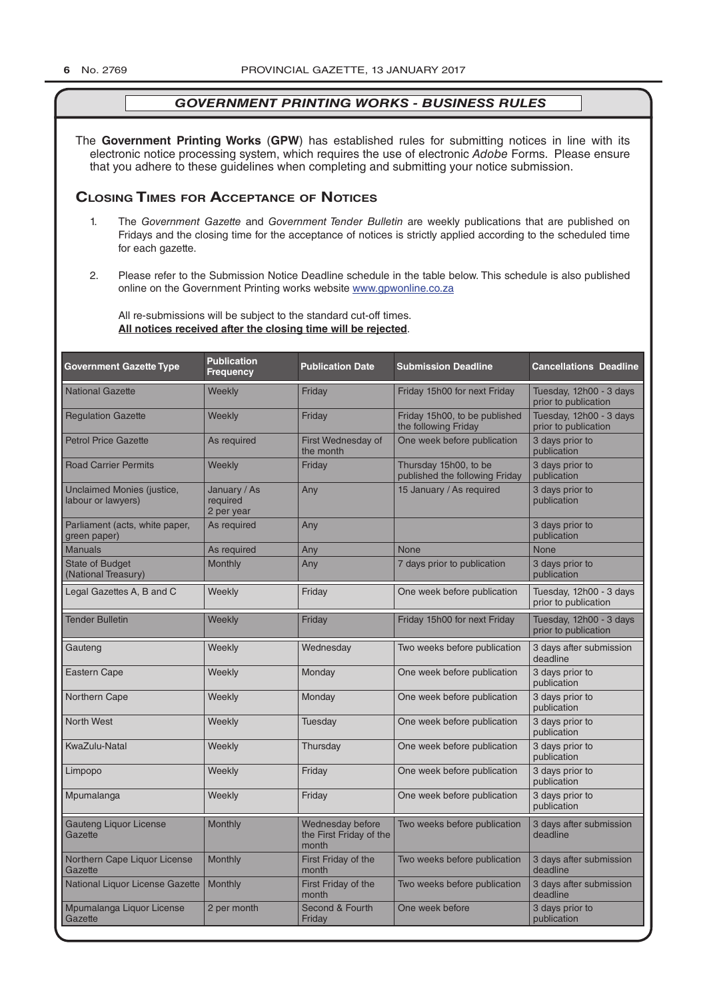The **Government Printing Works** (**GPW**) has established rules for submitting notices in line with its electronic notice processing system, which requires the use of electronic *Adobe* Forms. Please ensure that you adhere to these guidelines when completing and submitting your notice submission.

#### **Closing Times for ACCepTAnCe of noTiCes**

- 1. The *Government Gazette* and *Government Tender Bulletin* are weekly publications that are published on Fridays and the closing time for the acceptance of notices is strictly applied according to the scheduled time for each gazette.
- 2. Please refer to the Submission Notice Deadline schedule in the table below. This schedule is also published online on the Government Printing works website www.gpwonline.co.za

All re-submissions will be subject to the standard cut-off times. **All notices received after the closing time will be rejected**.

| <b>Government Gazette Type</b>                   | <b>Publication</b><br><b>Frequency</b> | <b>Publication Date</b>                              | <b>Submission Deadline</b>                              | <b>Cancellations Deadline</b>                   |
|--------------------------------------------------|----------------------------------------|------------------------------------------------------|---------------------------------------------------------|-------------------------------------------------|
| <b>National Gazette</b>                          | Weekly                                 | Friday                                               | Friday 15h00 for next Friday                            | Tuesday, 12h00 - 3 days<br>prior to publication |
| <b>Regulation Gazette</b>                        | Weekly                                 | Friday                                               | Friday 15h00, to be published<br>the following Friday   | Tuesday, 12h00 - 3 days<br>prior to publication |
| <b>Petrol Price Gazette</b>                      | As required                            | First Wednesday of<br>the month                      | One week before publication                             | 3 days prior to<br>publication                  |
| <b>Road Carrier Permits</b>                      | Weekly                                 | Friday                                               | Thursday 15h00, to be<br>published the following Friday | 3 days prior to<br>publication                  |
| Unclaimed Monies (justice,<br>labour or lawyers) | January / As<br>required<br>2 per year | Any                                                  | 15 January / As required                                | 3 days prior to<br>publication                  |
| Parliament (acts, white paper,<br>green paper)   | As required                            | Any                                                  |                                                         | 3 days prior to<br>publication                  |
| <b>Manuals</b>                                   | As required                            | Any                                                  | None                                                    | <b>None</b>                                     |
| <b>State of Budget</b><br>(National Treasury)    | <b>Monthly</b>                         | Any                                                  | 7 days prior to publication                             | 3 days prior to<br>publication                  |
| Legal Gazettes A, B and C                        | Weekly                                 | Friday                                               | One week before publication                             | Tuesday, 12h00 - 3 days<br>prior to publication |
| <b>Tender Bulletin</b>                           | Weekly                                 | Friday                                               | Friday 15h00 for next Friday                            | Tuesday, 12h00 - 3 days<br>prior to publication |
| Gauteng                                          | Weekly                                 | Wednesday                                            | Two weeks before publication                            | 3 days after submission<br>deadline             |
| <b>Eastern Cape</b>                              | Weekly                                 | Monday                                               | One week before publication                             | 3 days prior to<br>publication                  |
| Northern Cape                                    | Weekly                                 | Monday                                               | One week before publication                             | 3 days prior to<br>publication                  |
| <b>North West</b>                                | Weekly                                 | Tuesday                                              | One week before publication                             | 3 days prior to<br>publication                  |
| KwaZulu-Natal                                    | Weekly                                 | Thursday                                             | One week before publication                             | 3 days prior to<br>publication                  |
| Limpopo                                          | Weekly                                 | Friday                                               | One week before publication                             | 3 days prior to<br>publication                  |
| Mpumalanga                                       | Weekly                                 | Friday                                               | One week before publication                             | 3 days prior to<br>publication                  |
| <b>Gauteng Liquor License</b><br>Gazette         | Monthly                                | Wednesday before<br>the First Friday of the<br>month | Two weeks before publication                            | 3 days after submission<br>deadline             |
| Northern Cape Liquor License<br>Gazette          | Monthly                                | First Friday of the<br>month                         | Two weeks before publication                            | 3 days after submission<br>deadline             |
| National Liquor License Gazette                  | Monthly                                | First Friday of the<br>month                         | Two weeks before publication                            | 3 days after submission<br>deadline             |
| Mpumalanga Liquor License<br>Gazette             | 2 per month                            | Second & Fourth<br>Friday                            | One week before                                         | 3 days prior to<br>publication                  |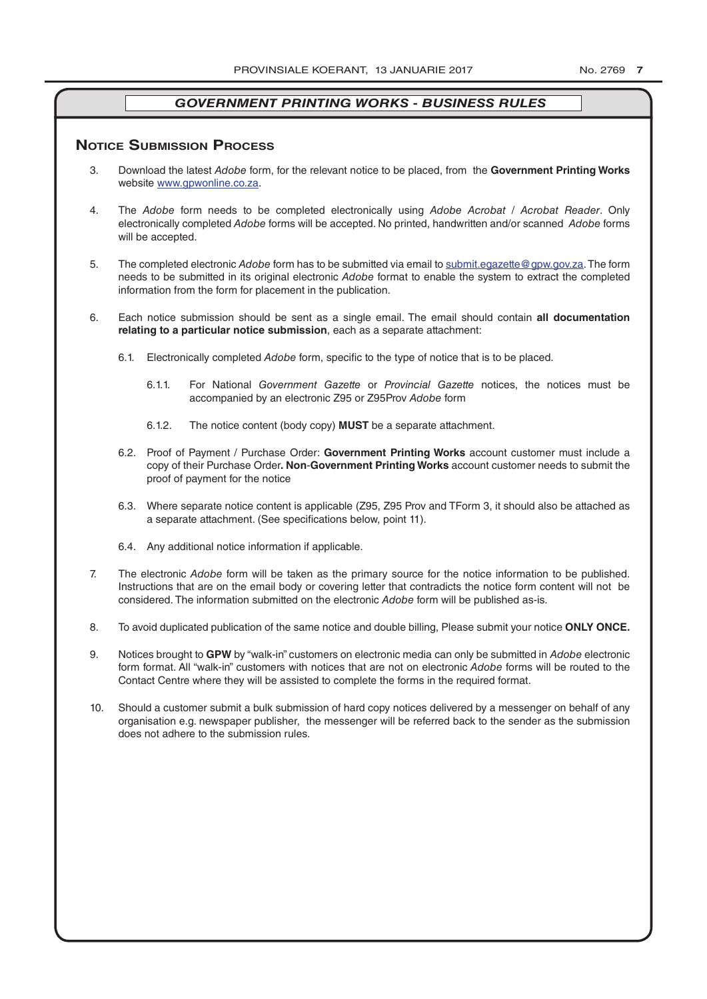#### **NOTICE SUBMISSION PROCESS**

- 3. Download the latest *Adobe* form, for the relevant notice to be placed, from the **Government Printing Works** website www.gpwonline.co.za.
- 4. The *Adobe* form needs to be completed electronically using *Adobe Acrobat* / *Acrobat Reader*. Only electronically completed *Adobe* forms will be accepted. No printed, handwritten and/or scanned *Adobe* forms will be accepted.
- 5. The completed electronic *Adobe* form has to be submitted via email to submit.egazette@gpw.gov.za. The form needs to be submitted in its original electronic *Adobe* format to enable the system to extract the completed information from the form for placement in the publication.
- 6. Each notice submission should be sent as a single email. The email should contain **all documentation relating to a particular notice submission**, each as a separate attachment:
	- 6.1. Electronically completed *Adobe* form, specific to the type of notice that is to be placed.
		- 6.1.1. For National *Government Gazette* or *Provincial Gazette* notices, the notices must be accompanied by an electronic Z95 or Z95Prov *Adobe* form
		- 6.1.2. The notice content (body copy) **MUST** be a separate attachment.
	- 6.2. Proof of Payment / Purchase Order: **Government Printing Works** account customer must include a copy of their Purchase Order*.* **Non**-**Government Printing Works** account customer needs to submit the proof of payment for the notice
	- 6.3. Where separate notice content is applicable (Z95, Z95 Prov and TForm 3, it should also be attached as a separate attachment. (See specifications below, point 11).
	- 6.4. Any additional notice information if applicable.
- 7. The electronic *Adobe* form will be taken as the primary source for the notice information to be published. Instructions that are on the email body or covering letter that contradicts the notice form content will not be considered. The information submitted on the electronic *Adobe* form will be published as-is.
- 8. To avoid duplicated publication of the same notice and double billing, Please submit your notice **ONLY ONCE.**
- 9. Notices brought to **GPW** by "walk-in" customers on electronic media can only be submitted in *Adobe* electronic form format. All "walk-in" customers with notices that are not on electronic *Adobe* forms will be routed to the Contact Centre where they will be assisted to complete the forms in the required format.
- 10. Should a customer submit a bulk submission of hard copy notices delivered by a messenger on behalf of any organisation e.g. newspaper publisher, the messenger will be referred back to the sender as the submission does not adhere to the submission rules.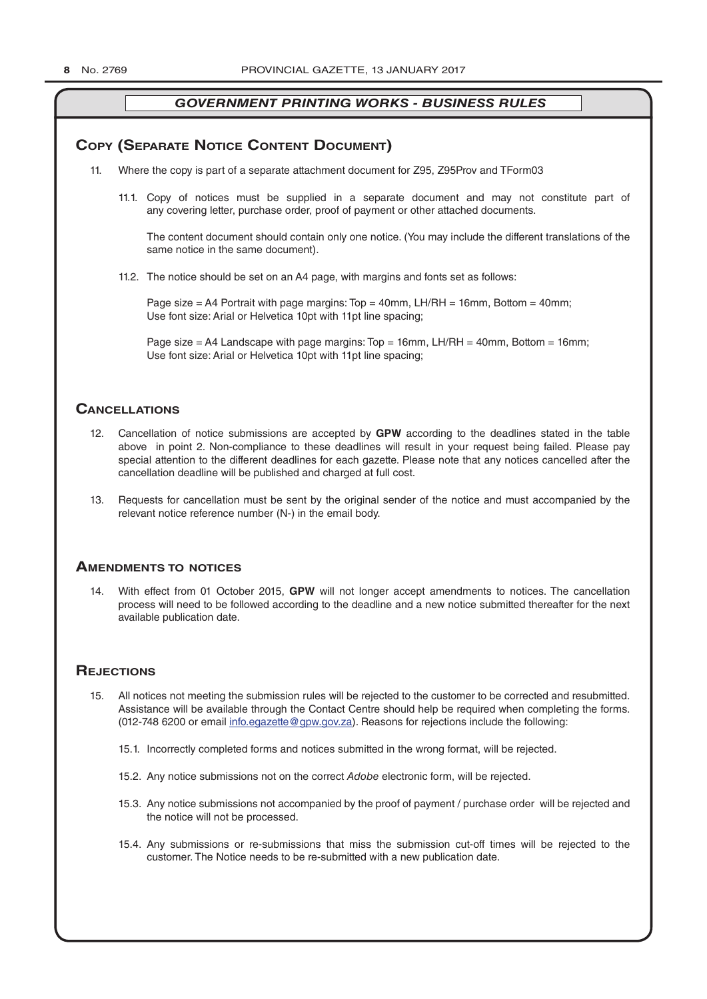#### **COPY (SEPARATE NOTICE CONTENT DOCUMENT)**

- 11. Where the copy is part of a separate attachment document for Z95, Z95Prov and TForm03
	- 11.1. Copy of notices must be supplied in a separate document and may not constitute part of any covering letter, purchase order, proof of payment or other attached documents.

The content document should contain only one notice. (You may include the different translations of the same notice in the same document).

11.2. The notice should be set on an A4 page, with margins and fonts set as follows:

Page size  $=$  A4 Portrait with page margins: Top  $=$  40mm, LH/RH  $=$  16mm, Bottom  $=$  40mm; Use font size: Arial or Helvetica 10pt with 11pt line spacing;

Page size = A4 Landscape with page margins:  $Top = 16$ mm, LH/RH = 40mm, Bottom = 16mm; Use font size: Arial or Helvetica 10pt with 11pt line spacing;

#### **CAnCellATions**

- 12. Cancellation of notice submissions are accepted by **GPW** according to the deadlines stated in the table above in point 2. Non-compliance to these deadlines will result in your request being failed. Please pay special attention to the different deadlines for each gazette. Please note that any notices cancelled after the cancellation deadline will be published and charged at full cost.
- 13. Requests for cancellation must be sent by the original sender of the notice and must accompanied by the relevant notice reference number (N-) in the email body.

#### **AmenDmenTs To noTiCes**

14. With effect from 01 October 2015, **GPW** will not longer accept amendments to notices. The cancellation process will need to be followed according to the deadline and a new notice submitted thereafter for the next available publication date.

#### **REJECTIONS**

- 15. All notices not meeting the submission rules will be rejected to the customer to be corrected and resubmitted. Assistance will be available through the Contact Centre should help be required when completing the forms. (012-748 6200 or email info.egazette@gpw.gov.za). Reasons for rejections include the following:
	- 15.1. Incorrectly completed forms and notices submitted in the wrong format, will be rejected.
	- 15.2. Any notice submissions not on the correct *Adobe* electronic form, will be rejected.
	- 15.3. Any notice submissions not accompanied by the proof of payment / purchase order will be rejected and the notice will not be processed.
	- 15.4. Any submissions or re-submissions that miss the submission cut-off times will be rejected to the customer. The Notice needs to be re-submitted with a new publication date.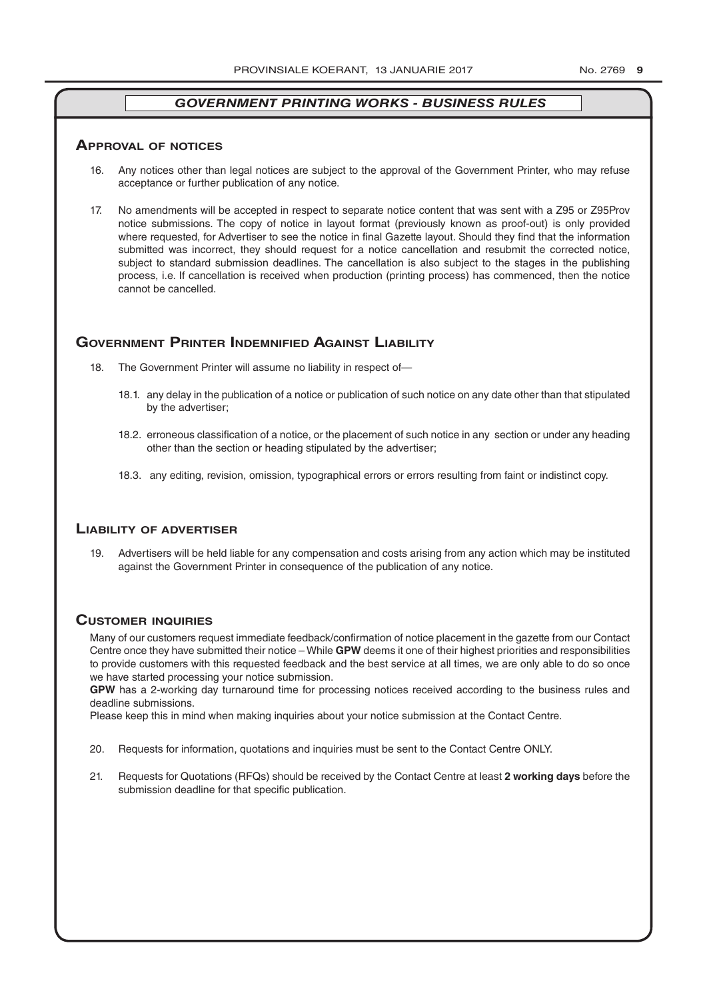#### **ApprovAl of noTiCes**

- 16. Any notices other than legal notices are subject to the approval of the Government Printer, who may refuse acceptance or further publication of any notice.
- 17. No amendments will be accepted in respect to separate notice content that was sent with a Z95 or Z95Prov notice submissions. The copy of notice in layout format (previously known as proof-out) is only provided where requested, for Advertiser to see the notice in final Gazette layout. Should they find that the information submitted was incorrect, they should request for a notice cancellation and resubmit the corrected notice, subject to standard submission deadlines. The cancellation is also subject to the stages in the publishing process, i.e. If cancellation is received when production (printing process) has commenced, then the notice cannot be cancelled.

#### **governmenT prinTer inDemnifieD AgAinsT liAbiliTy**

- 18. The Government Printer will assume no liability in respect of—
	- 18.1. any delay in the publication of a notice or publication of such notice on any date other than that stipulated by the advertiser;
	- 18.2. erroneous classification of a notice, or the placement of such notice in any section or under any heading other than the section or heading stipulated by the advertiser;
	- 18.3. any editing, revision, omission, typographical errors or errors resulting from faint or indistinct copy.

#### **liAbiliTy of ADverTiser**

19. Advertisers will be held liable for any compensation and costs arising from any action which may be instituted against the Government Printer in consequence of the publication of any notice.

#### **CusTomer inquiries**

Many of our customers request immediate feedback/confirmation of notice placement in the gazette from our Contact Centre once they have submitted their notice – While **GPW** deems it one of their highest priorities and responsibilities to provide customers with this requested feedback and the best service at all times, we are only able to do so once we have started processing your notice submission.

**GPW** has a 2-working day turnaround time for processing notices received according to the business rules and deadline submissions.

Please keep this in mind when making inquiries about your notice submission at the Contact Centre.

- 20. Requests for information, quotations and inquiries must be sent to the Contact Centre ONLY.
- 21. Requests for Quotations (RFQs) should be received by the Contact Centre at least **2 working days** before the submission deadline for that specific publication.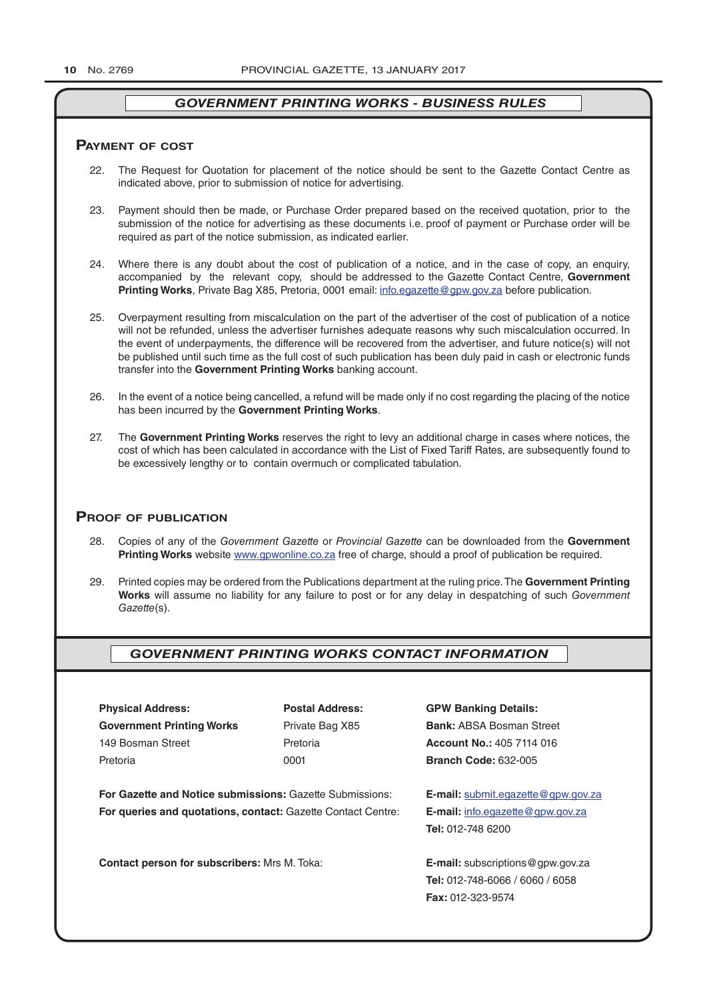#### **pAymenT of CosT**

- 22. The Request for Quotation for placement of the notice should be sent to the Gazette Contact Centre as indicated above, prior to submission of notice for advertising.
- 23. Payment should then be made, or Purchase Order prepared based on the received quotation, prior to the submission of the notice for advertising as these documents i.e. proof of payment or Purchase order will be required as part of the notice submission, as indicated earlier.
- 24. Where there is any doubt about the cost of publication of a notice, and in the case of copy, an enquiry, accompanied by the relevant copy, should be addressed to the Gazette Contact Centre, **Government Printing Works**, Private Bag X85, Pretoria, 0001 email: info.egazette@gpw.gov.za before publication.
- 25. Overpayment resulting from miscalculation on the part of the advertiser of the cost of publication of a notice will not be refunded, unless the advertiser furnishes adequate reasons why such miscalculation occurred. In the event of underpayments, the difference will be recovered from the advertiser, and future notice(s) will not be published until such time as the full cost of such publication has been duly paid in cash or electronic funds transfer into the **Government Printing Works** banking account.
- 26. In the event of a notice being cancelled, a refund will be made only if no cost regarding the placing of the notice has been incurred by the **Government Printing Works**.
- 27. The **Government Printing Works** reserves the right to levy an additional charge in cases where notices, the cost of which has been calculated in accordance with the List of Fixed Tariff Rates, are subsequently found to be excessively lengthy or to contain overmuch or complicated tabulation.

#### **proof of publiCATion**

- 28. Copies of any of the *Government Gazette* or *Provincial Gazette* can be downloaded from the **Government Printing Works** website www.gpwonline.co.za free of charge, should a proof of publication be required.
- 29. Printed copies may be ordered from the Publications department at the ruling price. The **Government Printing Works** will assume no liability for any failure to post or for any delay in despatching of such *Government Gazette*(s).

#### *GOVERNMENT PRINTING WORKS CONTACT INFORMATION*

**Physical Address: Postal Address: GPW Banking Details: Government Printing Works** Private Bag X85 **Bank:** ABSA Bosman Street 149 Bosman Street Pretoria **Account No.:** 405 7114 016 Pretoria 0001 **Branch Code:** 632-005

**For Gazette and Notice submissions:** Gazette Submissions: **E-mail:** submit.egazette@gpw.gov.za **For queries and quotations, contact:** Gazette Contact Centre: **E-mail:** info.egazette@gpw.gov.za

**Contact person for subscribers:** Mrs M. Toka: **E-mail:** subscriptions@gpw.gov.za

**Tel:** 012-748 6200

**Tel:** 012-748-6066 / 6060 / 6058 **Fax:** 012-323-9574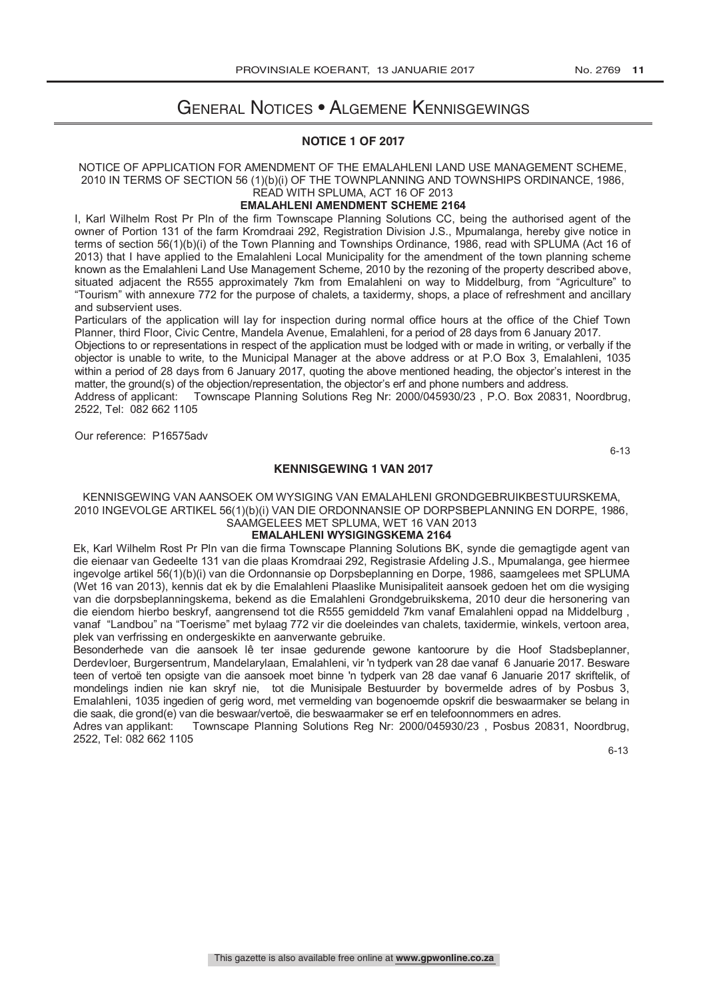### General Notices • Algemene Kennisgewings

#### **NOTICE 1 OF 2017**

#### NOTICE OF APPLICATION FOR AMENDMENT OF THE EMALAHLENI LAND USE MANAGEMENT SCHEME, 2010 IN TERMS OF SECTION 56 (1)(b)(i) OF THE TOWNPLANNING AND TOWNSHIPS ORDINANCE, 1986, READ WITH SPLUMA, ACT 16 OF 2013

#### **EMALAHLENI AMENDMENT SCHEME 2164**

I, Karl Wilhelm Rost Pr Pln of the firm Townscape Planning Solutions CC, being the authorised agent of the owner of Portion 131 of the farm Kromdraai 292, Registration Division J.S., Mpumalanga, hereby give notice in terms of section 56(1)(b)(i) of the Town Planning and Townships Ordinance, 1986, read with SPLUMA (Act 16 of 2013) that I have applied to the Emalahleni Local Municipality for the amendment of the town planning scheme known as the Emalahleni Land Use Management Scheme, 2010 by the rezoning of the property described above, situated adjacent the R555 approximately 7km from Emalahleni on way to Middelburg, from "Agriculture" to "Tourism" with annexure 772 for the purpose of chalets, a taxidermy, shops, a place of refreshment and ancillary and subservient uses.

Particulars of the application will lay for inspection during normal office hours at the office of the Chief Town Planner, third Floor, Civic Centre, Mandela Avenue, Emalahleni, for a period of 28 days from 6 January 2017.

Objections to or representations in respect of the application must be lodged with or made in writing, or verbally if the objector is unable to write, to the Municipal Manager at the above address or at P.O Box 3, Emalahleni, 1035 within a period of 28 days from 6 January 2017, quoting the above mentioned heading, the objector's interest in the matter, the ground(s) of the objection/representation, the objector's erf and phone numbers and address.

Address of applicant: Townscape Planning Solutions Reg Nr: 2000/045930/23 , P.O. Box 20831, Noordbrug, 2522, Tel: 082 662 1105

Our reference: P16575adv

6-13

#### **KENNISGEWING 1 VAN 2017**

KENNISGEWING VAN AANSOEK OM WYSIGING VAN EMALAHLENI GRONDGEBRUIKBESTUURSKEMA, 2010 INGEVOLGE ARTIKEL 56(1)(b)(i) VAN DIE ORDONNANSIE OP DORPSBEPLANNING EN DORPE, 1986, SAAMGELEES MET SPLUMA, WET 16 VAN 2013

#### **EMALAHLENI WYSIGINGSKEMA 2164**

Ek, Karl Wilhelm Rost Pr Pln van die firma Townscape Planning Solutions BK, synde die gemagtigde agent van die eienaar van Gedeelte 131 van die plaas Kromdraai 292, Registrasie Afdeling J.S., Mpumalanga, gee hiermee ingevolge artikel 56(1)(b)(i) van die Ordonnansie op Dorpsbeplanning en Dorpe, 1986, saamgelees met SPLUMA (Wet 16 van 2013), kennis dat ek by die Emalahleni Plaaslike Munisipaliteit aansoek gedoen het om die wysiging van die dorpsbeplanningskema, bekend as die Emalahleni Grondgebruikskema, 2010 deur die hersonering van die eiendom hierbo beskryf, aangrensend tot die R555 gemiddeld 7km vanaf Emalahleni oppad na Middelburg , vanaf "Landbou" na "Toerisme" met bylaag 772 vir die doeleindes van chalets, taxidermie, winkels, vertoon area, plek van verfrissing en ondergeskikte en aanverwante gebruike.

Besonderhede van die aansoek lê ter insae gedurende gewone kantoorure by die Hoof Stadsbeplanner, Derdevloer, Burgersentrum, Mandelarylaan, Emalahleni, vir 'n tydperk van 28 dae vanaf 6 Januarie 2017. Besware teen of vertoë ten opsigte van die aansoek moet binne 'n tydperk van 28 dae vanaf 6 Januarie 2017 skriftelik, of mondelings indien nie kan skryf nie, tot die Munisipale Bestuurder by bovermelde adres of by Posbus 3, Emalahleni, 1035 ingedien of gerig word, met vermelding van bogenoemde opskrif die beswaarmaker se belang in die saak, die grond(e) van die beswaar/vertoë, die beswaarmaker se erf en telefoonnommers en adres.<br>Adres van applikant: Townscape Planning Solutions Reg Nr: 2000/045930/23, Posbus 2083

Townscape Planning Solutions Reg Nr: 2000/045930/23, Posbus 20831, Noordbrug, 2522, Tel: 082 662 1105

6-13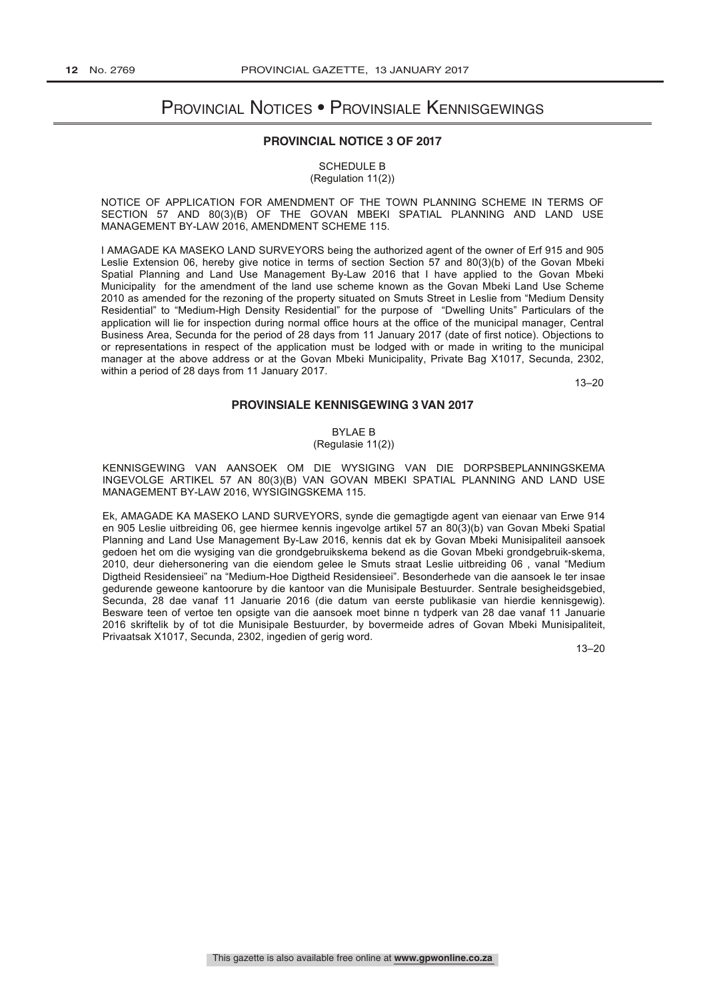### Provincial Notices • Provinsiale Kennisgewings

#### **PROVINCIAL NOTICE 3 OF 2017**

SCHEDULE B (Regulation 11(2))

NOTICE OF APPLICATION FOR AMENDMENT OF THE TOWN PLANNING SCHEME IN TERMS OF SECTION 57 AND 80(3)(B) OF THE GOVAN MBEKI SPATIAL PLANNING AND LAND USE MANAGEMENT BY-LAW 2016, AMENDMENT SCHEME 115.

I AMAGADE KA MASEKO LAND SURVEYORS being the authorized agent of the owner of Erf 915 and 905 Leslie Extension 06, hereby give notice in terms of section Section 57 and 80(3)(b) of the Govan Mbeki Spatial Planning and Land Use Management By-Law 2016 that I have applied to the Govan Mbeki Municipality for the amendment of the land use scheme known as the Govan Mbeki Land Use Scheme 2010 as amended for the rezoning of the property situated on Smuts Street in Leslie from "Medium Density Residential" to "Medium-High Density Residential" for the purpose of "Dwelling Units" Particulars of the application will lie for inspection during normal office hours at the office of the municipal manager, Central Business Area, Secunda for the period of 28 days from 11 January 2017 (date of first notice). Objections to or representations in respect of the application must be lodged with or made in writing to the municipal manager at the above address or at the Govan Mbeki Municipality, Private Bag X1017, Secunda, 2302, within a period of 28 days from 11 January 2017.

13–20

#### **PROVINSIALE KENNISGEWING 3 VAN 2017**

BYLAE B

(Regulasie 11(2))

KENNISGEWING VAN AANSOEK OM DIE WYSIGING VAN DIE DORPSBEPLANNINGSKEMA INGEVOLGE ARTIKEL 57 AN 80(3)(B) VAN GOVAN MBEKI SPATIAL PLANNING AND LAND USE MANAGEMENT BY-LAW 2016, WYSIGINGSKEMA 115.

Ek, AMAGADE KA MASEKO LAND SURVEYORS, synde die gemagtigde agent van eienaar van Erwe 914 en 905 Leslie uitbreiding 06, gee hiermee kennis ingevolge artikel 57 an 80(3)(b) van Govan Mbeki Spatial Planning and Land Use Management By-Law 2016, kennis dat ek by Govan Mbeki Munisipaliteil aansoek gedoen het om die wysiging van die grondgebruikskema bekend as die Govan Mbeki grondgebruik-skema, 2010, deur diehersonering van die eiendom gelee le Smuts straat Leslie uitbreiding 06 , vanal "Medium Digtheid Residensieei" na "Medium-Hoe Digtheid Residensieei". Besonderhede van die aansoek le ter insae gedurende geweone kantoorure by die kantoor van die Munisipale Bestuurder. Sentrale besigheidsgebied, Secunda, 28 dae vanaf 11 Januarie 2016 (die datum van eerste publikasie van hierdie kennisgewig). Besware teen of vertoe ten opsigte van die aansoek moet binne n tydperk van 28 dae vanaf 11 Januarie 2016 skriftelik by of tot die Munisipale Bestuurder, by bovermeide adres of Govan Mbeki Munisipaliteit, Privaatsak X1017, Secunda, 2302, ingedien of gerig word.

13–20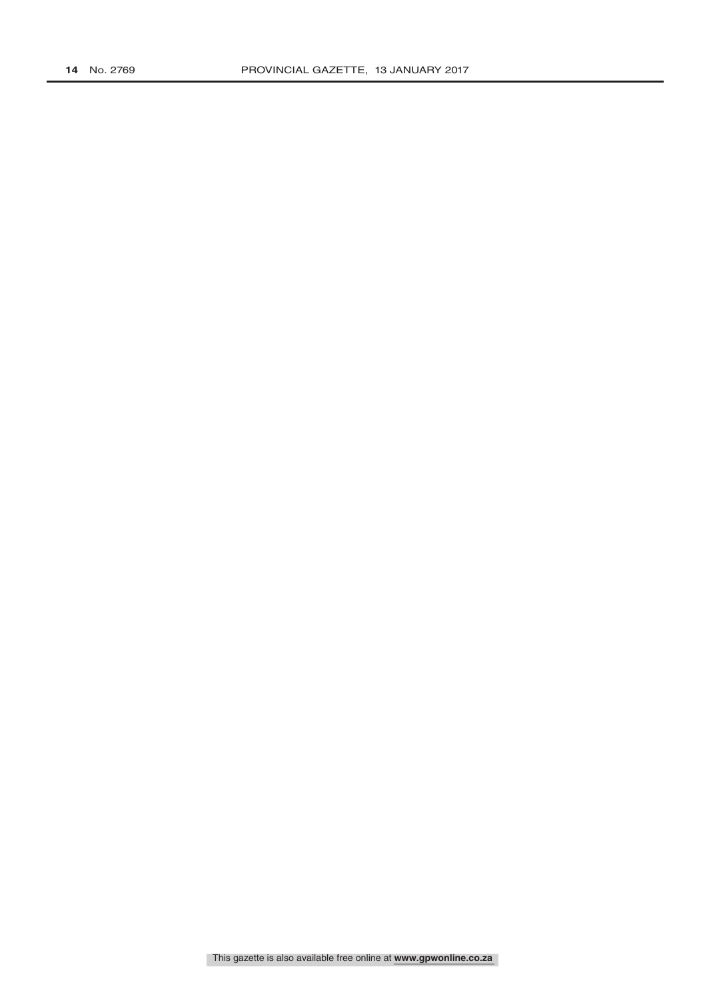This gazette is also available free online at **www.gpwonline.co.za**